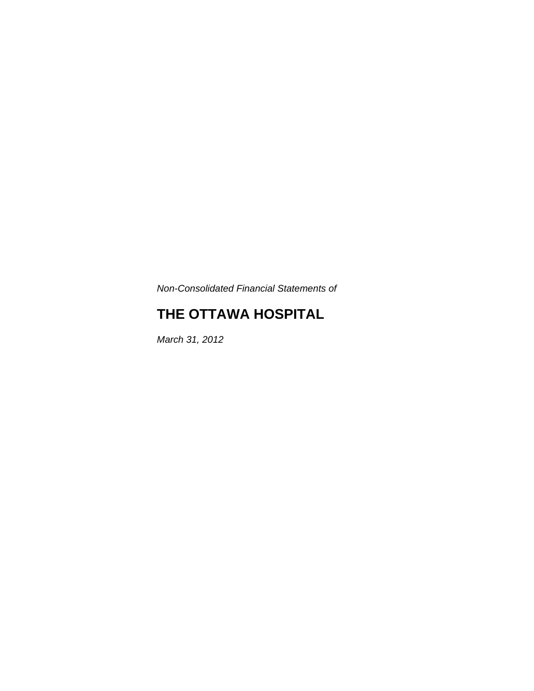*Non-Consolidated Financial Statements of* 

# **THE OTTAWA HOSPITAL**

*March 31, 2012*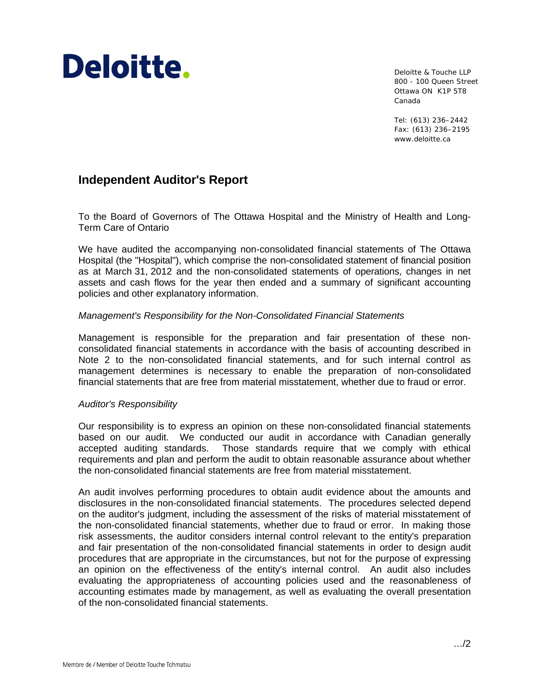# Deloitte.

Deloitte & Touche LLP 800 - 100 Queen Street Ottawa ON K1P 5T8 Canada

Tel: (613) 236–2442 Fax: (613) 236–2195 www.deloitte.ca

# **Independent Auditor's Report**

To the Board of Governors of The Ottawa Hospital and the Ministry of Health and Long-Term Care of Ontario

We have audited the accompanying non-consolidated financial statements of The Ottawa Hospital (the "Hospital"), which comprise the non-consolidated statement of financial position as at March 31, 2012 and the non-consolidated statements of operations, changes in net assets and cash flows for the year then ended and a summary of significant accounting policies and other explanatory information.

#### *Management's Responsibility for the Non-Consolidated Financial Statements*

Management is responsible for the preparation and fair presentation of these nonconsolidated financial statements in accordance with the basis of accounting described in Note 2 to the non-consolidated financial statements, and for such internal control as management determines is necessary to enable the preparation of non-consolidated financial statements that are free from material misstatement, whether due to fraud or error.

#### *Auditor's Responsibility*

Our responsibility is to express an opinion on these non-consolidated financial statements based on our audit. We conducted our audit in accordance with Canadian generally accepted auditing standards. Those standards require that we comply with ethical requirements and plan and perform the audit to obtain reasonable assurance about whether the non-consolidated financial statements are free from material misstatement.

An audit involves performing procedures to obtain audit evidence about the amounts and disclosures in the non-consolidated financial statements. The procedures selected depend on the auditor's judgment, including the assessment of the risks of material misstatement of the non-consolidated financial statements, whether due to fraud or error. In making those risk assessments, the auditor considers internal control relevant to the entity's preparation and fair presentation of the non-consolidated financial statements in order to design audit procedures that are appropriate in the circumstances, but not for the purpose of expressing an opinion on the effectiveness of the entity's internal control. An audit also includes evaluating the appropriateness of accounting policies used and the reasonableness of accounting estimates made by management, as well as evaluating the overall presentation of the non-consolidated financial statements.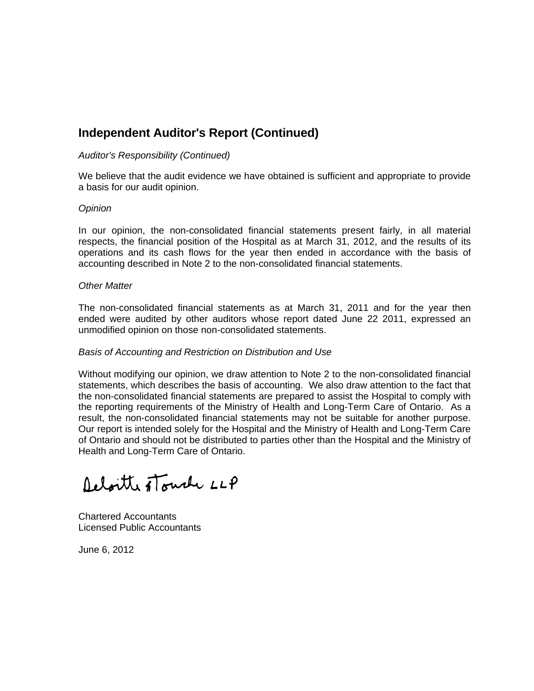# **Independent Auditor's Report (Continued)**

#### *Auditor's Responsibility (Continued)*

We believe that the audit evidence we have obtained is sufficient and appropriate to provide a basis for our audit opinion.

#### *Opinion*

In our opinion, the non-consolidated financial statements present fairly, in all material respects, the financial position of the Hospital as at March 31, 2012, and the results of its operations and its cash flows for the year then ended in accordance with the basis of accounting described in Note 2 to the non-consolidated financial statements.

#### *Other Matter*

The non-consolidated financial statements as at March 31, 2011 and for the year then ended were audited by other auditors whose report dated June 22 2011, expressed an unmodified opinion on those non-consolidated statements.

#### *Basis of Accounting and Restriction on Distribution and Use*

Without modifying our opinion, we draw attention to Note 2 to the non-consolidated financial statements, which describes the basis of accounting. We also draw attention to the fact that the non-consolidated financial statements are prepared to assist the Hospital to comply with the reporting requirements of the Ministry of Health and Long-Term Care of Ontario. As a result, the non-consolidated financial statements may not be suitable for another purpose. Our report is intended solely for the Hospital and the Ministry of Health and Long-Term Care of Ontario and should not be distributed to parties other than the Hospital and the Ministry of Health and Long-Term Care of Ontario.

Relaitte stouch LLP

Chartered Accountants Licensed Public Accountants

June 6, 2012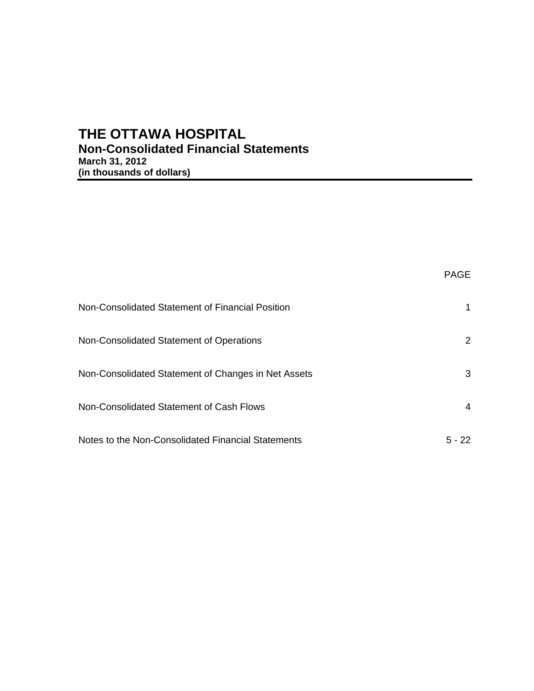# **THE OTTAWA HOSPITAL Non-Consolidated Financial Statements March 31, 2012 (in thousands of dollars)**

|                                                     | PAGE      |
|-----------------------------------------------------|-----------|
| Non-Consolidated Statement of Financial Position    |           |
| Non-Consolidated Statement of Operations            | 2         |
| Non-Consolidated Statement of Changes in Net Assets | 3         |
| Non-Consolidated Statement of Cash Flows            | 4         |
| Notes to the Non-Consolidated Financial Statements  | 5 -<br>22 |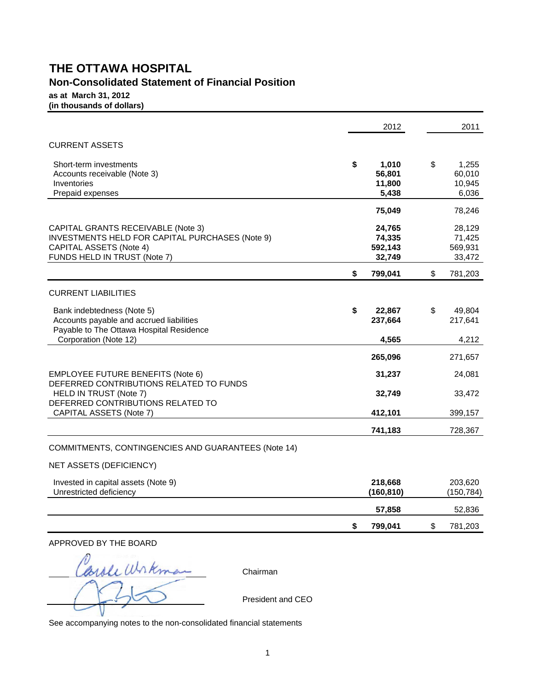# **THE OTTAWA HOSPITAL**

# **Non-Consolidated Statement of Financial Position**

**as at March 31, 2012 (in thousands of dollars)**

|                                                                                                                                                         | 2012                                     | 2011                                     |
|---------------------------------------------------------------------------------------------------------------------------------------------------------|------------------------------------------|------------------------------------------|
| <b>CURRENT ASSETS</b>                                                                                                                                   |                                          |                                          |
| Short-term investments<br>Accounts receivable (Note 3)<br>Inventories<br>Prepaid expenses                                                               | \$<br>1,010<br>56,801<br>11,800<br>5,438 | \$<br>1,255<br>60,010<br>10,945<br>6,036 |
|                                                                                                                                                         | 75,049                                   | 78,246                                   |
| CAPITAL GRANTS RECEIVABLE (Note 3)<br>INVESTMENTS HELD FOR CAPITAL PURCHASES (Note 9)<br><b>CAPITAL ASSETS (Note 4)</b><br>FUNDS HELD IN TRUST (Note 7) | 24,765<br>74,335<br>592,143<br>32,749    | 28,129<br>71,425<br>569,931<br>33,472    |
|                                                                                                                                                         | \$<br>799,041                            | \$<br>781,203                            |
| <b>CURRENT LIABILITIES</b>                                                                                                                              |                                          |                                          |
| Bank indebtedness (Note 5)<br>Accounts payable and accrued liabilities<br>Payable to The Ottawa Hospital Residence                                      | \$<br>22,867<br>237,664                  | \$<br>49,804<br>217,641                  |
| Corporation (Note 12)                                                                                                                                   | 4,565                                    | 4,212                                    |
|                                                                                                                                                         | 265,096                                  | 271,657                                  |
| <b>EMPLOYEE FUTURE BENEFITS (Note 6)</b><br>DEFERRED CONTRIBUTIONS RELATED TO FUNDS                                                                     | 31,237                                   | 24,081                                   |
| HELD IN TRUST (Note 7)<br>DEFERRED CONTRIBUTIONS RELATED TO                                                                                             | 32,749                                   | 33,472                                   |
| CAPITAL ASSETS (Note 7)                                                                                                                                 | 412,101                                  | 399, 157                                 |
|                                                                                                                                                         | 741,183                                  | 728,367                                  |
| COMMITMENTS, CONTINGENCIES AND GUARANTEES (Note 14)                                                                                                     |                                          |                                          |
| <b>NET ASSETS (DEFICIENCY)</b>                                                                                                                          |                                          |                                          |

| Invested in capital assets (Note 9)<br>Unrestricted deficiency | 218,668<br>(160, 810) | 203,620<br>(150,784) |
|----------------------------------------------------------------|-----------------------|----------------------|
|                                                                | 57.858                | 52,836               |
|                                                                | 799.041               | 781,203              |

APPROVED BY THE BOARD

arole Wrkman Chairman

President and CEO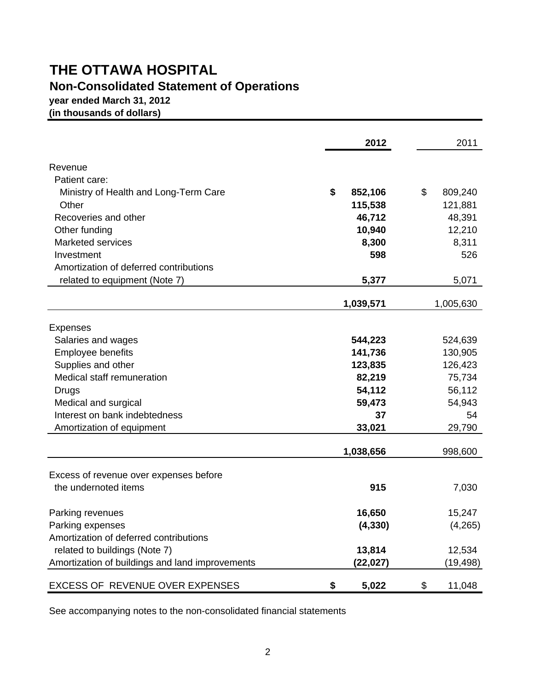# **THE OTTAWA HOSPITAL**

# **Non-Consolidated Statement of Operations**

**year ended March 31, 2012**

**(in thousands of dollars)**

|                                                 | 2012          | 2011          |
|-------------------------------------------------|---------------|---------------|
| Revenue                                         |               |               |
| Patient care:                                   |               |               |
| Ministry of Health and Long-Term Care           | \$<br>852,106 | \$<br>809,240 |
| Other                                           | 115,538       | 121,881       |
| Recoveries and other                            | 46,712        | 48,391        |
| Other funding                                   | 10,940        | 12,210        |
| <b>Marketed services</b>                        | 8,300         | 8,311         |
| Investment                                      | 598           | 526           |
| Amortization of deferred contributions          |               |               |
| related to equipment (Note 7)                   | 5,377         | 5,071         |
|                                                 | 1,039,571     | 1,005,630     |
|                                                 |               |               |
| <b>Expenses</b>                                 | 544,223       | 524,639       |
| Salaries and wages<br>Employee benefits         | 141,736       | 130,905       |
| Supplies and other                              | 123,835       | 126,423       |
| Medical staff remuneration                      | 82,219        | 75,734        |
| Drugs                                           | 54,112        | 56,112        |
| Medical and surgical                            | 59,473        | 54,943        |
| Interest on bank indebtedness                   | 37            | 54            |
| Amortization of equipment                       | 33,021        | 29,790        |
|                                                 | 1,038,656     | 998,600       |
|                                                 |               |               |
| Excess of revenue over expenses before          |               |               |
| the undernoted items                            | 915           | 7,030         |
| Parking revenues                                | 16,650        | 15,247        |
| Parking expenses                                | (4, 330)      | (4,265)       |
| Amortization of deferred contributions          |               |               |
| related to buildings (Note 7)                   | 13,814        | 12,534        |
| Amortization of buildings and land improvements | (22,027)      | (19,498)      |
| EXCESS OF REVENUE OVER EXPENSES                 | 5,022<br>\$   | \$<br>11,048  |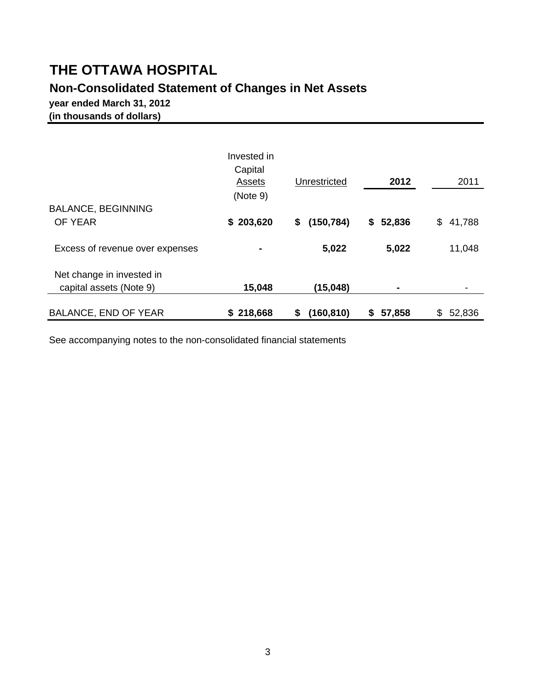# **THE OTTAWA HOSPITAL**

# **Non-Consolidated Statement of Changes in Net Assets**

**year ended March 31, 2012 (in thousands of dollars)**

|                                 | Invested in<br>Capital<br>Assets<br>(Note 9) | Unrestricted     | 2012         | 2011          |
|---------------------------------|----------------------------------------------|------------------|--------------|---------------|
| <b>BALANCE, BEGINNING</b>       |                                              |                  |              |               |
| OF YEAR                         | \$203,620                                    | (150, 784)<br>\$ | 52,836<br>\$ | 41,788<br>\$. |
| Excess of revenue over expenses | ٠                                            | 5,022            | 5,022        | 11,048        |
| Net change in invested in       |                                              |                  |              |               |
| capital assets (Note 9)         | 15,048                                       | (15, 048)        |              |               |
| <b>BALANCE, END OF YEAR</b>     | \$218,668                                    | (160, 810)<br>\$ | 57,858<br>S  | 52,836<br>\$  |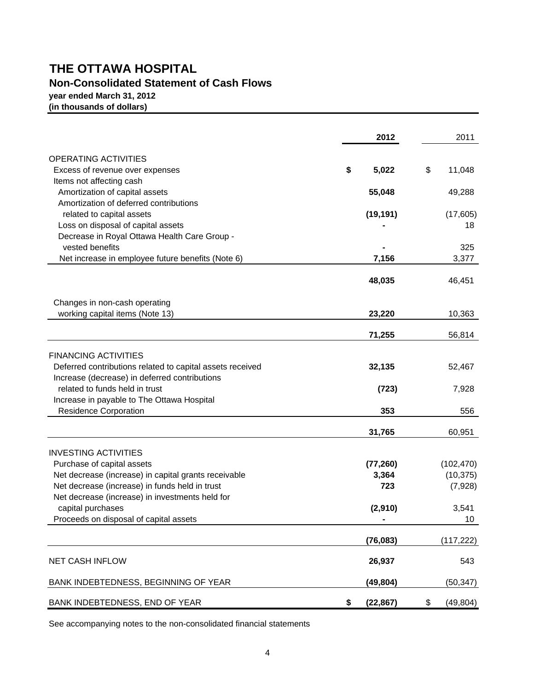# **THE OTTAWA HOSPITAL Non-Consolidated Statement of Cash Flows**

**year ended March 31, 2012 (in thousands of dollars)**

|                                                           | 2012            | 2011            |
|-----------------------------------------------------------|-----------------|-----------------|
| <b>OPERATING ACTIVITIES</b>                               |                 |                 |
| Excess of revenue over expenses                           | \$<br>5,022     | \$<br>11,048    |
| Items not affecting cash                                  |                 |                 |
| Amortization of capital assets                            | 55,048          | 49,288          |
| Amortization of deferred contributions                    |                 |                 |
| related to capital assets                                 | (19, 191)       | (17,605)        |
| Loss on disposal of capital assets                        |                 | 18              |
| Decrease in Royal Ottawa Health Care Group -              |                 |                 |
| vested benefits                                           |                 | 325             |
| Net increase in employee future benefits (Note 6)         | 7,156           | 3,377           |
|                                                           | 48,035          | 46,451          |
| Changes in non-cash operating                             |                 |                 |
| working capital items (Note 13)                           | 23,220          | 10,363          |
|                                                           |                 |                 |
|                                                           | 71,255          | 56,814          |
| <b>FINANCING ACTIVITIES</b>                               |                 |                 |
| Deferred contributions related to capital assets received | 32,135          | 52,467          |
| Increase (decrease) in deferred contributions             |                 |                 |
| related to funds held in trust                            | (723)           | 7,928           |
| Increase in payable to The Ottawa Hospital                |                 |                 |
| <b>Residence Corporation</b>                              | 353             | 556             |
|                                                           | 31,765          | 60,951          |
| <b>INVESTING ACTIVITIES</b>                               |                 |                 |
| Purchase of capital assets                                | (77, 260)       | (102, 470)      |
| Net decrease (increase) in capital grants receivable      | 3,364           | (10, 375)       |
| Net decrease (increase) in funds held in trust            | 723             | (7,928)         |
| Net decrease (increase) in investments held for           |                 |                 |
| capital purchases                                         | (2,910)         | 3,541           |
| Proceeds on disposal of capital assets                    |                 | 10              |
|                                                           | (76, 083)       | (117, 222)      |
| <b>NET CASH INFLOW</b>                                    | 26,937          | 543             |
| BANK INDEBTEDNESS, BEGINNING OF YEAR                      | (49, 804)       | (50, 347)       |
| BANK INDEBTEDNESS, END OF YEAR                            | \$<br>(22, 867) | \$<br>(49, 804) |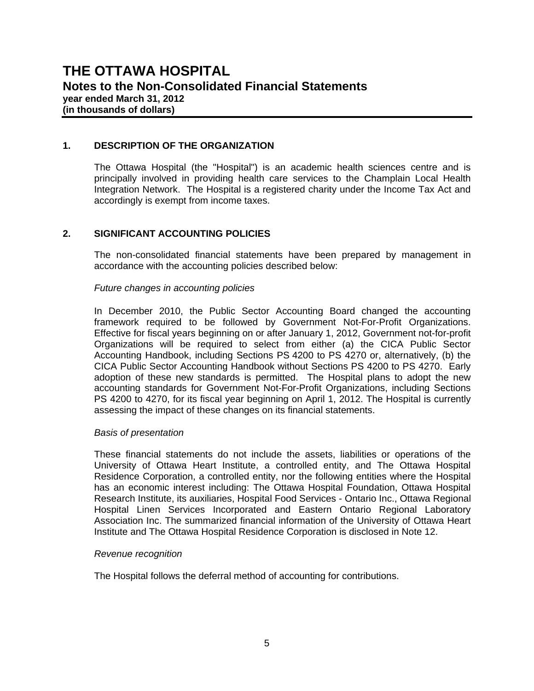#### **1. DESCRIPTION OF THE ORGANIZATION**

 The Ottawa Hospital (the "Hospital") is an academic health sciences centre and is principally involved in providing health care services to the Champlain Local Health Integration Network. The Hospital is a registered charity under the Income Tax Act and accordingly is exempt from income taxes.

#### **2. SIGNIFICANT ACCOUNTING POLICIES**

The non-consolidated financial statements have been prepared by management in accordance with the accounting policies described below:

#### *Future changes in accounting policies*

In December 2010, the Public Sector Accounting Board changed the accounting framework required to be followed by Government Not-For-Profit Organizations. Effective for fiscal years beginning on or after January 1, 2012, Government not-for-profit Organizations will be required to select from either (a) the CICA Public Sector Accounting Handbook, including Sections PS 4200 to PS 4270 or, alternatively, (b) the CICA Public Sector Accounting Handbook without Sections PS 4200 to PS 4270. Early adoption of these new standards is permitted. The Hospital plans to adopt the new accounting standards for Government Not-For-Profit Organizations, including Sections PS 4200 to 4270, for its fiscal year beginning on April 1, 2012. The Hospital is currently assessing the impact of these changes on its financial statements.

#### *Basis of presentation*

These financial statements do not include the assets, liabilities or operations of the University of Ottawa Heart Institute, a controlled entity, and The Ottawa Hospital Residence Corporation, a controlled entity, nor the following entities where the Hospital has an economic interest including: The Ottawa Hospital Foundation, Ottawa Hospital Research Institute, its auxiliaries, Hospital Food Services - Ontario Inc., Ottawa Regional Hospital Linen Services Incorporated and Eastern Ontario Regional Laboratory Association Inc. The summarized financial information of the University of Ottawa Heart Institute and The Ottawa Hospital Residence Corporation is disclosed in Note 12.

#### *Revenue recognition*

The Hospital follows the deferral method of accounting for contributions.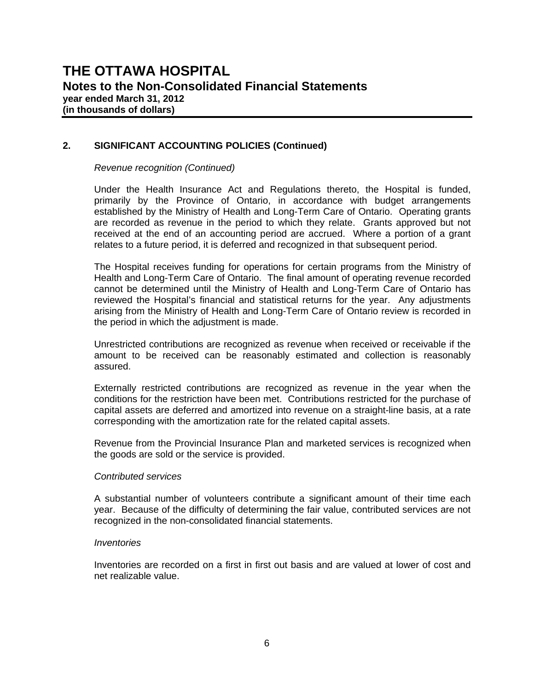#### **2. SIGNIFICANT ACCOUNTING POLICIES (Continued)**

#### *Revenue recognition (Continued)*

Under the Health Insurance Act and Regulations thereto, the Hospital is funded, primarily by the Province of Ontario, in accordance with budget arrangements established by the Ministry of Health and Long-Term Care of Ontario. Operating grants are recorded as revenue in the period to which they relate. Grants approved but not received at the end of an accounting period are accrued. Where a portion of a grant relates to a future period, it is deferred and recognized in that subsequent period.

The Hospital receives funding for operations for certain programs from the Ministry of Health and Long-Term Care of Ontario. The final amount of operating revenue recorded cannot be determined until the Ministry of Health and Long-Term Care of Ontario has reviewed the Hospital's financial and statistical returns for the year. Any adjustments arising from the Ministry of Health and Long-Term Care of Ontario review is recorded in the period in which the adjustment is made.

Unrestricted contributions are recognized as revenue when received or receivable if the amount to be received can be reasonably estimated and collection is reasonably assured.

Externally restricted contributions are recognized as revenue in the year when the conditions for the restriction have been met. Contributions restricted for the purchase of capital assets are deferred and amortized into revenue on a straight-line basis, at a rate corresponding with the amortization rate for the related capital assets.

Revenue from the Provincial Insurance Plan and marketed services is recognized when the goods are sold or the service is provided.

#### *Contributed services*

A substantial number of volunteers contribute a significant amount of their time each year. Because of the difficulty of determining the fair value, contributed services are not recognized in the non-consolidated financial statements.

#### *Inventories*

Inventories are recorded on a first in first out basis and are valued at lower of cost and net realizable value.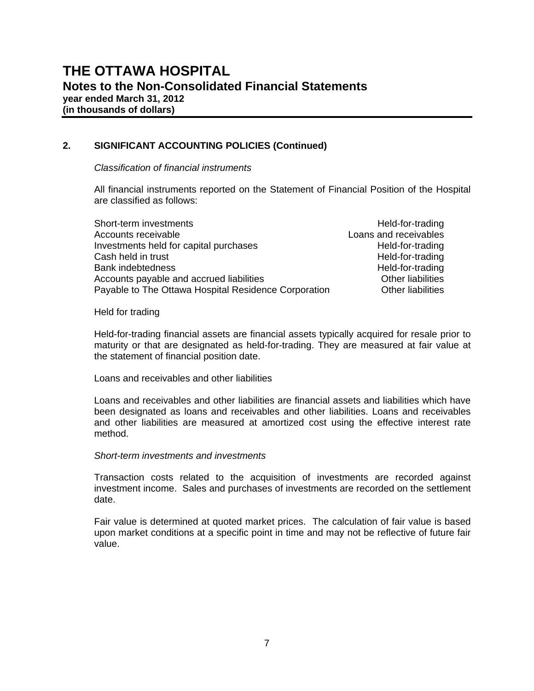#### **2. SIGNIFICANT ACCOUNTING POLICIES (Continued)**

*Classification of financial instruments* 

All financial instruments reported on the Statement of Financial Position of the Hospital are classified as follows:

| Held-for-trading         |
|--------------------------|
| Loans and receivables    |
| Held-for-trading         |
| Held-for-trading         |
| Held-for-trading         |
| <b>Other liabilities</b> |
| <b>Other liabilities</b> |
|                          |

Held for trading

Held-for-trading financial assets are financial assets typically acquired for resale prior to maturity or that are designated as held-for-trading. They are measured at fair value at the statement of financial position date.

Loans and receivables and other liabilities

Loans and receivables and other liabilities are financial assets and liabilities which have been designated as loans and receivables and other liabilities. Loans and receivables and other liabilities are measured at amortized cost using the effective interest rate method.

#### *Short-term investments and investments*

Transaction costs related to the acquisition of investments are recorded against investment income. Sales and purchases of investments are recorded on the settlement date.

Fair value is determined at quoted market prices. The calculation of fair value is based upon market conditions at a specific point in time and may not be reflective of future fair value.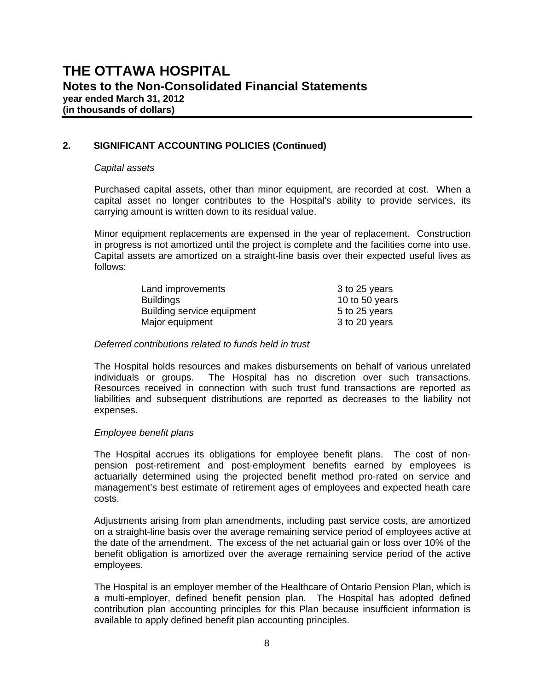#### **2. SIGNIFICANT ACCOUNTING POLICIES (Continued)**

#### *Capital assets*

Purchased capital assets, other than minor equipment, are recorded at cost. When a capital asset no longer contributes to the Hospital's ability to provide services, its carrying amount is written down to its residual value.

Minor equipment replacements are expensed in the year of replacement. Construction in progress is not amortized until the project is complete and the facilities come into use. Capital assets are amortized on a straight-line basis over their expected useful lives as follows:

| Land improvements          | 3 to 25 years  |
|----------------------------|----------------|
| <b>Buildings</b>           | 10 to 50 years |
| Building service equipment | 5 to 25 years  |
| Major equipment            | 3 to 20 years  |

#### *Deferred contributions related to funds held in trust*

The Hospital holds resources and makes disbursements on behalf of various unrelated individuals or groups. The Hospital has no discretion over such transactions. Resources received in connection with such trust fund transactions are reported as liabilities and subsequent distributions are reported as decreases to the liability not expenses.

#### *Employee benefit plans*

The Hospital accrues its obligations for employee benefit plans. The cost of nonpension post-retirement and post-employment benefits earned by employees is actuarially determined using the projected benefit method pro-rated on service and management's best estimate of retirement ages of employees and expected heath care costs.

Adjustments arising from plan amendments, including past service costs, are amortized on a straight-line basis over the average remaining service period of employees active at the date of the amendment. The excess of the net actuarial gain or loss over 10% of the benefit obligation is amortized over the average remaining service period of the active employees.

The Hospital is an employer member of the Healthcare of Ontario Pension Plan, which is a multi-employer, defined benefit pension plan. The Hospital has adopted defined contribution plan accounting principles for this Plan because insufficient information is available to apply defined benefit plan accounting principles.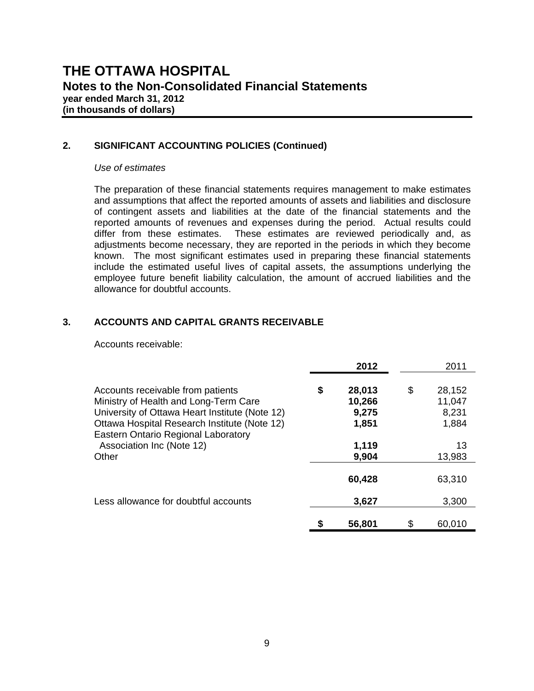#### **2. SIGNIFICANT ACCOUNTING POLICIES (Continued)**

#### *Use of estimates*

The preparation of these financial statements requires management to make estimates and assumptions that affect the reported amounts of assets and liabilities and disclosure of contingent assets and liabilities at the date of the financial statements and the reported amounts of revenues and expenses during the period. Actual results could differ from these estimates. These estimates are reviewed periodically and, as adjustments become necessary, they are reported in the periods in which they become known. The most significant estimates used in preparing these financial statements include the estimated useful lives of capital assets, the assumptions underlying the employee future benefit liability calculation, the amount of accrued liabilities and the allowance for doubtful accounts.

#### **3. ACCOUNTS AND CAPITAL GRANTS RECEIVABLE**

Accounts receivable:

|                                                                                                                                                                                                                                                           | 2012                                                       |    | 2011                                               |
|-----------------------------------------------------------------------------------------------------------------------------------------------------------------------------------------------------------------------------------------------------------|------------------------------------------------------------|----|----------------------------------------------------|
| Accounts receivable from patients<br>Ministry of Health and Long-Term Care<br>University of Ottawa Heart Institute (Note 12)<br>Ottawa Hospital Research Institute (Note 12)<br>Eastern Ontario Regional Laboratory<br>Association Inc (Note 12)<br>Other | \$<br>28,013<br>10,266<br>9,275<br>1,851<br>1,119<br>9,904 | \$ | 28,152<br>11,047<br>8,231<br>1,884<br>13<br>13,983 |
|                                                                                                                                                                                                                                                           | 60,428                                                     |    | 63,310                                             |
| Less allowance for doubtful accounts                                                                                                                                                                                                                      | 3,627                                                      |    | 3,300                                              |
|                                                                                                                                                                                                                                                           | 56,801                                                     | S  | 60,010                                             |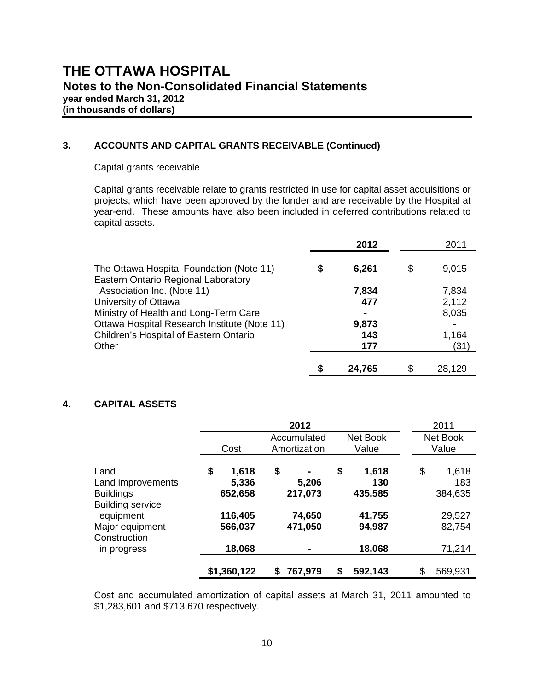#### **3. ACCOUNTS AND CAPITAL GRANTS RECEIVABLE (Continued)**

#### Capital grants receivable

Capital grants receivable relate to grants restricted in use for capital asset acquisitions or projects, which have been approved by the funder and are receivable by the Hospital at year-end. These amounts have also been included in deferred contributions related to capital assets.

|                                                                                 |   | 2012   | 2011         |
|---------------------------------------------------------------------------------|---|--------|--------------|
| The Ottawa Hospital Foundation (Note 11)<br>Eastern Ontario Regional Laboratory | S | 6,261  | \$<br>9,015  |
| Association Inc. (Note 11)                                                      |   | 7,834  | 7,834        |
| University of Ottawa                                                            |   | 477    | 2,112        |
| Ministry of Health and Long-Term Care                                           |   |        | 8,035        |
| Ottawa Hospital Research Institute (Note 11)                                    |   | 9,873  |              |
| Children's Hospital of Eastern Ontario                                          |   | 143    | 1,164        |
| Other                                                                           |   | 177    | (31)         |
|                                                                                 |   | 24,765 | \$<br>28,129 |

#### **4. CAPITAL ASSETS**

|                                                                          |                                 | 2012                                     |                               | 2011                          |
|--------------------------------------------------------------------------|---------------------------------|------------------------------------------|-------------------------------|-------------------------------|
|                                                                          | Cost                            | Accumulated<br>Amortization              | Net Book<br>Value             | Net Book<br>Value             |
| Land<br>Land improvements<br><b>Buildings</b><br><b>Building service</b> | \$<br>1,618<br>5,336<br>652,658 | \$<br>$\blacksquare$<br>5,206<br>217,073 | \$<br>1,618<br>130<br>435,585 | \$<br>1,618<br>183<br>384,635 |
| equipment<br>Major equipment<br>Construction<br>in progress              | 116,405<br>566,037<br>18,068    | 74,650<br>471,050<br>٠                   | 41,755<br>94,987<br>18,068    | 29,527<br>82,754<br>71,214    |
|                                                                          | \$1,360,122                     | 767,979<br>S                             | 592,143<br>\$                 | 569,931<br>S                  |

Cost and accumulated amortization of capital assets at March 31, 2011 amounted to \$1,283,601 and \$713,670 respectively.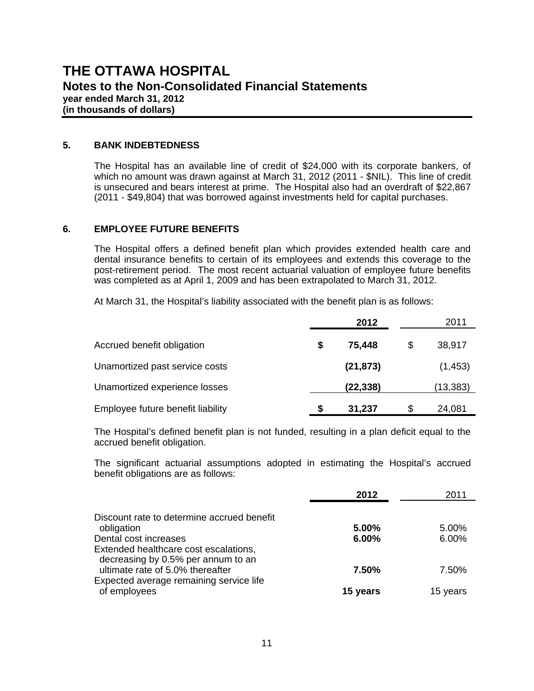#### **5. BANK INDEBTEDNESS**

The Hospital has an available line of credit of \$24,000 with its corporate bankers, of which no amount was drawn against at March 31, 2012 (2011 - \$NIL). This line of credit is unsecured and bears interest at prime. The Hospital also had an overdraft of \$22,867 (2011 - \$49,804) that was borrowed against investments held for capital purchases.

#### **6. EMPLOYEE FUTURE BENEFITS**

The Hospital offers a defined benefit plan which provides extended health care and dental insurance benefits to certain of its employees and extends this coverage to the post-retirement period. The most recent actuarial valuation of employee future benefits was completed as at April 1, 2009 and has been extrapolated to March 31, 2012.

At March 31, the Hospital's liability associated with the benefit plan is as follows:

|                                   |   | 2012      | 2011         |
|-----------------------------------|---|-----------|--------------|
| Accrued benefit obligation        | S | 75,448    | \$<br>38,917 |
| Unamortized past service costs    |   | (21, 873) | (1, 453)     |
| Unamortized experience losses     |   | (22, 338) | (13, 383)    |
| Employee future benefit liability | S | 31,237    | \$<br>24,081 |

The Hospital's defined benefit plan is not funded, resulting in a plan deficit equal to the accrued benefit obligation.

The significant actuarial assumptions adopted in estimating the Hospital's accrued benefit obligations are as follows:

|                                                                                                                   | 2012           | 2011           |
|-------------------------------------------------------------------------------------------------------------------|----------------|----------------|
| Discount rate to determine accrued benefit<br>obligation<br>Dental cost increases                                 | 5.00%<br>6.00% | 5.00%<br>6.00% |
| Extended healthcare cost escalations,                                                                             |                |                |
| decreasing by 0.5% per annum to an<br>ultimate rate of 5.0% thereafter<br>Expected average remaining service life | 7.50%          | 7.50%          |
| of employees                                                                                                      | 15 years       | 15 years       |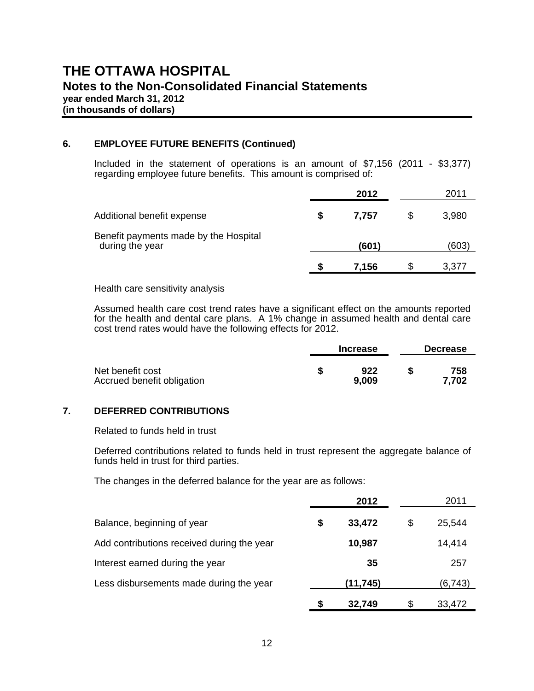# **THE OTTAWA HOSPITAL Notes to the Non-Consolidated Financial Statements year ended March 31, 2012**

**(in thousands of dollars)** 

#### **6. EMPLOYEE FUTURE BENEFITS (Continued)**

Included in the statement of operations is an amount of \$7,156 (2011 - \$3,377) regarding employee future benefits. This amount is comprised of:

|                                                          |   | 2012  |    | 2011  |
|----------------------------------------------------------|---|-------|----|-------|
| Additional benefit expense                               | S | 7,757 | \$ | 3,980 |
| Benefit payments made by the Hospital<br>during the year |   | (601) |    | (603) |
|                                                          | S | 7,156 | S  | 3,377 |

Health care sensitivity analysis

Assumed health care cost trend rates have a significant effect on the amounts reported for the health and dental care plans. A 1% change in assumed health and dental care cost trend rates would have the following effects for 2012.

|                                                | <b>Increase</b> | <b>Decrease</b> |
|------------------------------------------------|-----------------|-----------------|
| Net benefit cost<br>Accrued benefit obligation | 922<br>9,009    | 758<br>7,702    |

#### **7. DEFERRED CONTRIBUTIONS**

Related to funds held in trust

Deferred contributions related to funds held in trust represent the aggregate balance of funds held in trust for third parties.

The changes in the deferred balance for the year are as follows:

|                                            |    | 2012     | 2011         |
|--------------------------------------------|----|----------|--------------|
| Balance, beginning of year                 | \$ | 33,472   | \$<br>25,544 |
| Add contributions received during the year |    | 10,987   | 14,414       |
| Interest earned during the year            |    | 35       | 257          |
| Less disbursements made during the year    |    | (11,745) | (6, 743)     |
|                                            | S  | 32,749   | \$<br>33,472 |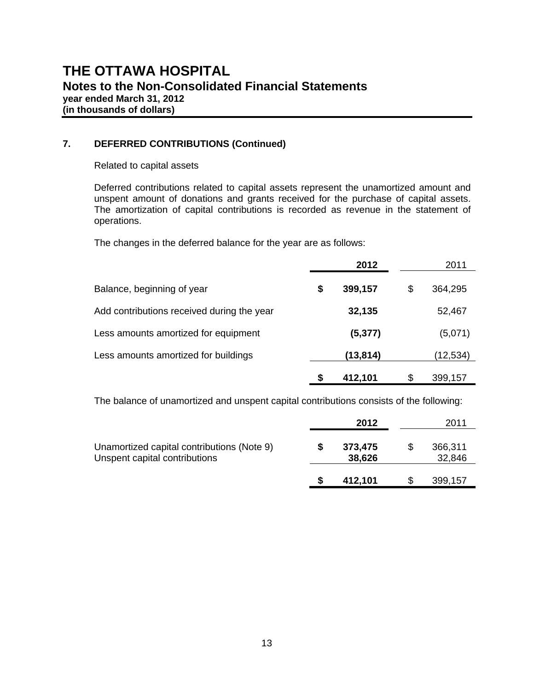#### **7. DEFERRED CONTRIBUTIONS (Continued)**

Related to capital assets

Deferred contributions related to capital assets represent the unamortized amount and unspent amount of donations and grants received for the purchase of capital assets. The amortization of capital contributions is recorded as revenue in the statement of operations.

The changes in the deferred balance for the year are as follows:

|                                            |    | 2012     | 2011          |
|--------------------------------------------|----|----------|---------------|
| Balance, beginning of year                 | \$ | 399,157  | \$<br>364,295 |
| Add contributions received during the year |    | 32,135   | 52,467        |
| Less amounts amortized for equipment       |    | (5, 377) | (5,071)       |
| Less amounts amortized for buildings       |    | (13,814) | (12, 534)     |
|                                            | S  | 412,101  | \$<br>399,157 |

The balance of unamortized and unspent capital contributions consists of the following:

|                                                                             | 2012              |    | 2011              |
|-----------------------------------------------------------------------------|-------------------|----|-------------------|
| Unamortized capital contributions (Note 9)<br>Unspent capital contributions | 373,475<br>38,626 | S  | 366,311<br>32,846 |
|                                                                             | 412,101           | S. | 399,157           |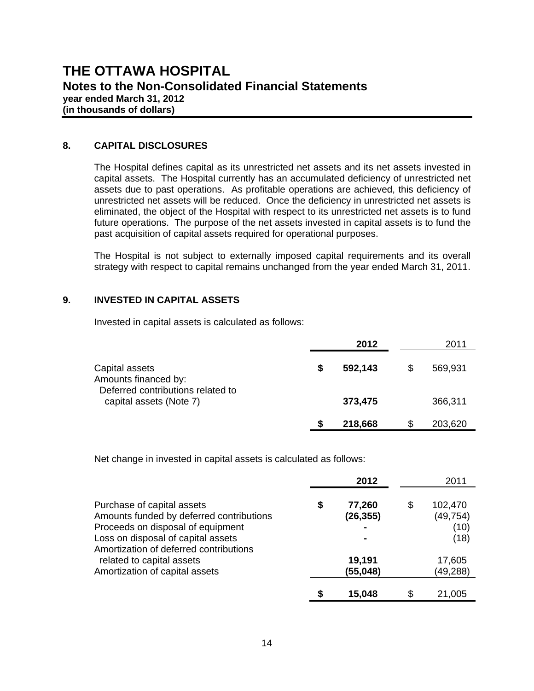#### **8. CAPITAL DISCLOSURES**

 The Hospital defines capital as its unrestricted net assets and its net assets invested in capital assets. The Hospital currently has an accumulated deficiency of unrestricted net assets due to past operations. As profitable operations are achieved, this deficiency of unrestricted net assets will be reduced. Once the deficiency in unrestricted net assets is eliminated, the object of the Hospital with respect to its unrestricted net assets is to fund future operations. The purpose of the net assets invested in capital assets is to fund the past acquisition of capital assets required for operational purposes.

The Hospital is not subject to externally imposed capital requirements and its overall strategy with respect to capital remains unchanged from the year ended March 31, 2011.

#### **9. INVESTED IN CAPITAL ASSETS**

Invested in capital assets is calculated as follows:

|                                                                             |   | 2012    |   | 2011    |
|-----------------------------------------------------------------------------|---|---------|---|---------|
| Capital assets<br>Amounts financed by:<br>Deferred contributions related to | S | 592,143 | S | 569,931 |
| capital assets (Note 7)                                                     |   | 373,475 |   | 366,311 |
|                                                                             | S | 218,668 | S | 203,620 |

Net change in invested in capital assets is calculated as follows:

|                                                                                                                                                                                             |   | 2012                |    | 2011                                 |
|---------------------------------------------------------------------------------------------------------------------------------------------------------------------------------------------|---|---------------------|----|--------------------------------------|
| Purchase of capital assets<br>Amounts funded by deferred contributions<br>Proceeds on disposal of equipment<br>Loss on disposal of capital assets<br>Amortization of deferred contributions | S | 77,260<br>(26, 355) | \$ | 102,470<br>(49, 754)<br>(10)<br>(18) |
| related to capital assets<br>Amortization of capital assets                                                                                                                                 |   | 19,191<br>(55, 048) |    | 17,605<br>(49, 288)                  |
|                                                                                                                                                                                             |   | 15.048              | S  | 21,005                               |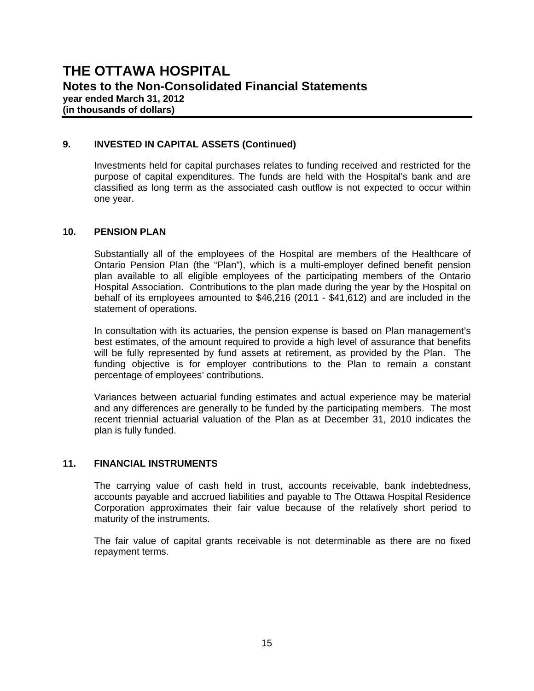#### **9. INVESTED IN CAPITAL ASSETS (Continued)**

Investments held for capital purchases relates to funding received and restricted for the purpose of capital expenditures. The funds are held with the Hospital's bank and are classified as long term as the associated cash outflow is not expected to occur within one year.

#### **10. PENSION PLAN**

 Substantially all of the employees of the Hospital are members of the Healthcare of Ontario Pension Plan (the "Plan"), which is a multi-employer defined benefit pension plan available to all eligible employees of the participating members of the Ontario Hospital Association. Contributions to the plan made during the year by the Hospital on behalf of its employees amounted to \$46,216 (2011 - \$41,612) and are included in the statement of operations.

 In consultation with its actuaries, the pension expense is based on Plan management's best estimates, of the amount required to provide a high level of assurance that benefits will be fully represented by fund assets at retirement, as provided by the Plan. The funding objective is for employer contributions to the Plan to remain a constant percentage of employees' contributions.

 Variances between actuarial funding estimates and actual experience may be material and any differences are generally to be funded by the participating members. The most recent triennial actuarial valuation of the Plan as at December 31, 2010 indicates the plan is fully funded.

#### **11. FINANCIAL INSTRUMENTS**

The carrying value of cash held in trust, accounts receivable, bank indebtedness, accounts payable and accrued liabilities and payable to The Ottawa Hospital Residence Corporation approximates their fair value because of the relatively short period to maturity of the instruments.

The fair value of capital grants receivable is not determinable as there are no fixed repayment terms.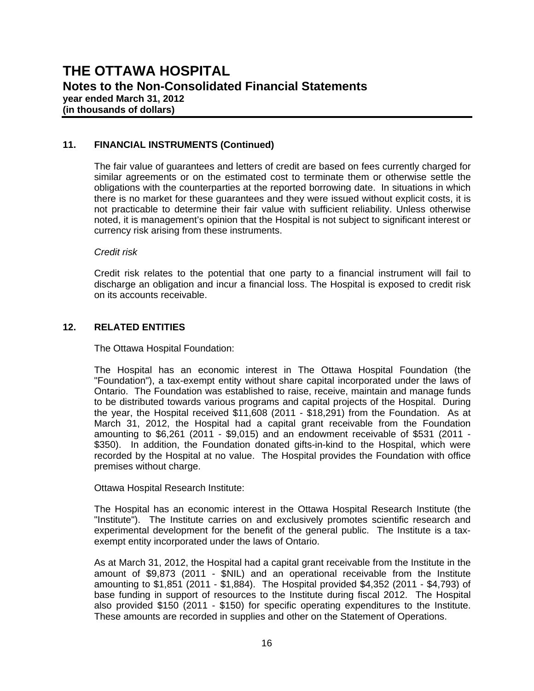#### **11. FINANCIAL INSTRUMENTS (Continued)**

 The fair value of guarantees and letters of credit are based on fees currently charged for similar agreements or on the estimated cost to terminate them or otherwise settle the obligations with the counterparties at the reported borrowing date. In situations in which there is no market for these guarantees and they were issued without explicit costs, it is not practicable to determine their fair value with sufficient reliability. Unless otherwise noted, it is management's opinion that the Hospital is not subject to significant interest or currency risk arising from these instruments.

#### *Credit risk*

 Credit risk relates to the potential that one party to a financial instrument will fail to discharge an obligation and incur a financial loss. The Hospital is exposed to credit risk on its accounts receivable.

#### **12. RELATED ENTITIES**

The Ottawa Hospital Foundation:

 The Hospital has an economic interest in The Ottawa Hospital Foundation (the "Foundation"), a tax-exempt entity without share capital incorporated under the laws of Ontario. The Foundation was established to raise, receive, maintain and manage funds to be distributed towards various programs and capital projects of the Hospital. During the year, the Hospital received \$11,608 (2011 - \$18,291) from the Foundation. As at March 31, 2012, the Hospital had a capital grant receivable from the Foundation amounting to \$6,261 (2011 - \$9,015) and an endowment receivable of \$531 (2011 - \$350). In addition, the Foundation donated gifts-in-kind to the Hospital, which were recorded by the Hospital at no value. The Hospital provides the Foundation with office premises without charge.

Ottawa Hospital Research Institute:

 The Hospital has an economic interest in the Ottawa Hospital Research Institute (the "Institute"). The Institute carries on and exclusively promotes scientific research and experimental development for the benefit of the general public. The Institute is a taxexempt entity incorporated under the laws of Ontario.

 As at March 31, 2012, the Hospital had a capital grant receivable from the Institute in the amount of \$9,873 (2011 - \$NIL) and an operational receivable from the Institute amounting to \$1,851 (2011 - \$1,884). The Hospital provided \$4,352 (2011 - \$4,793) of base funding in support of resources to the Institute during fiscal 2012. The Hospital also provided \$150 (2011 - \$150) for specific operating expenditures to the Institute. These amounts are recorded in supplies and other on the Statement of Operations.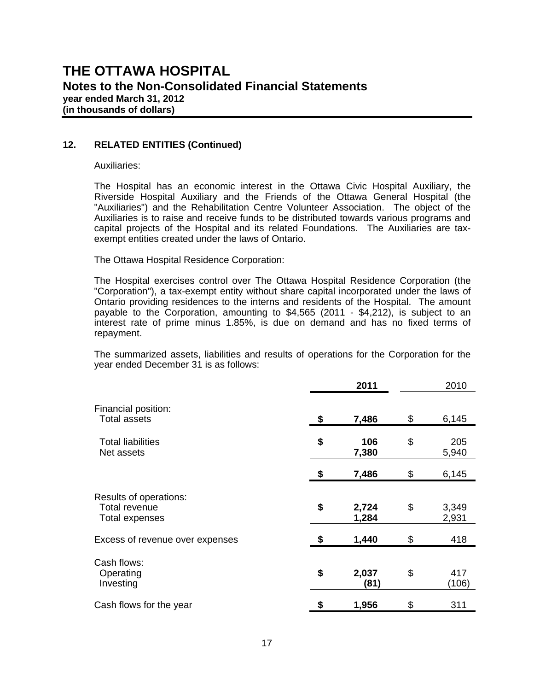#### **12. RELATED ENTITIES (Continued)**

Auxiliaries:

 The Hospital has an economic interest in the Ottawa Civic Hospital Auxiliary, the Riverside Hospital Auxiliary and the Friends of the Ottawa General Hospital (the "Auxiliaries") and the Rehabilitation Centre Volunteer Association. The object of the Auxiliaries is to raise and receive funds to be distributed towards various programs and capital projects of the Hospital and its related Foundations. The Auxiliaries are taxexempt entities created under the laws of Ontario.

The Ottawa Hospital Residence Corporation:

 The Hospital exercises control over The Ottawa Hospital Residence Corporation (the "Corporation"), a tax-exempt entity without share capital incorporated under the laws of Ontario providing residences to the interns and residents of the Hospital. The amount payable to the Corporation, amounting to \$4,565 (2011 - \$4,212), is subject to an interest rate of prime minus 1.85%, is due on demand and has no fixed terms of repayment.

 The summarized assets, liabilities and results of operations for the Corporation for the year ended December 31 is as follows:

|                                                           | 2011                 | 2010                 |
|-----------------------------------------------------------|----------------------|----------------------|
| Financial position:<br><b>Total assets</b>                | \$<br>7,486          | \$<br>6,145          |
| <b>Total liabilities</b><br>Net assets                    | \$<br>106<br>7,380   | \$<br>205<br>5,940   |
|                                                           | \$<br>7,486          | \$<br>6,145          |
| Results of operations:<br>Total revenue<br>Total expenses | \$<br>2,724<br>1,284 | \$<br>3,349<br>2,931 |
| Excess of revenue over expenses                           | \$<br>1,440          | \$<br>418            |
| Cash flows:<br>Operating<br>Investing                     | \$<br>2,037<br>(81)  | \$<br>417<br>(106)   |
| Cash flows for the year                                   | \$<br>1,956          | \$<br>311            |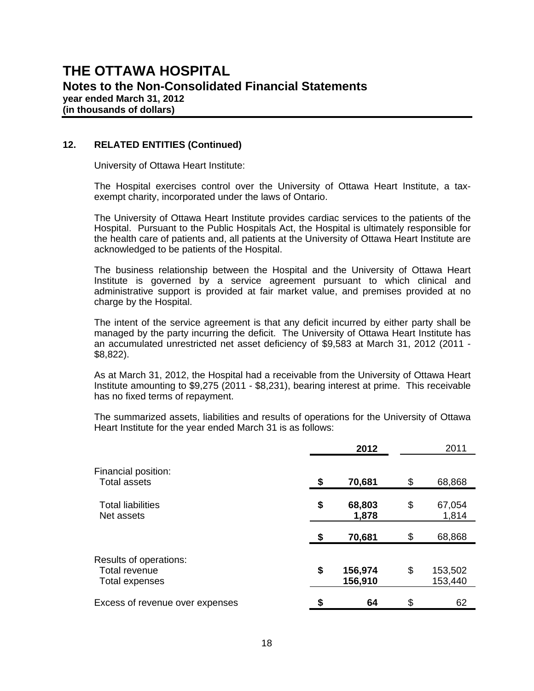#### **12. RELATED ENTITIES (Continued)**

University of Ottawa Heart Institute:

 The Hospital exercises control over the University of Ottawa Heart Institute, a taxexempt charity, incorporated under the laws of Ontario.

 The University of Ottawa Heart Institute provides cardiac services to the patients of the Hospital. Pursuant to the Public Hospitals Act, the Hospital is ultimately responsible for the health care of patients and, all patients at the University of Ottawa Heart Institute are acknowledged to be patients of the Hospital.

 The business relationship between the Hospital and the University of Ottawa Heart Institute is governed by a service agreement pursuant to which clinical and administrative support is provided at fair market value, and premises provided at no charge by the Hospital.

 The intent of the service agreement is that any deficit incurred by either party shall be managed by the party incurring the deficit. The University of Ottawa Heart Institute has an accumulated unrestricted net asset deficiency of \$9,583 at March 31, 2012 (2011 - \$8,822).

 As at March 31, 2012, the Hospital had a receivable from the University of Ottawa Heart Institute amounting to \$9,275 (2011 - \$8,231), bearing interest at prime. This receivable has no fixed terms of repayment.

 The summarized assets, liabilities and results of operations for the University of Ottawa Heart Institute for the year ended March 31 is as follows:

|                                                           |    | 2012               | 2011                     |
|-----------------------------------------------------------|----|--------------------|--------------------------|
| Financial position:<br><b>Total assets</b>                | \$ | 70,681             | \$<br>68,868             |
| <b>Total liabilities</b><br>Net assets                    | \$ | 68,803<br>1,878    | \$<br>67,054<br>1,814    |
|                                                           | \$ | 70,681             | \$<br>68,868             |
| Results of operations:<br>Total revenue<br>Total expenses | \$ | 156,974<br>156,910 | \$<br>153,502<br>153,440 |
| Excess of revenue over expenses                           | S  | 64                 | \$<br>62                 |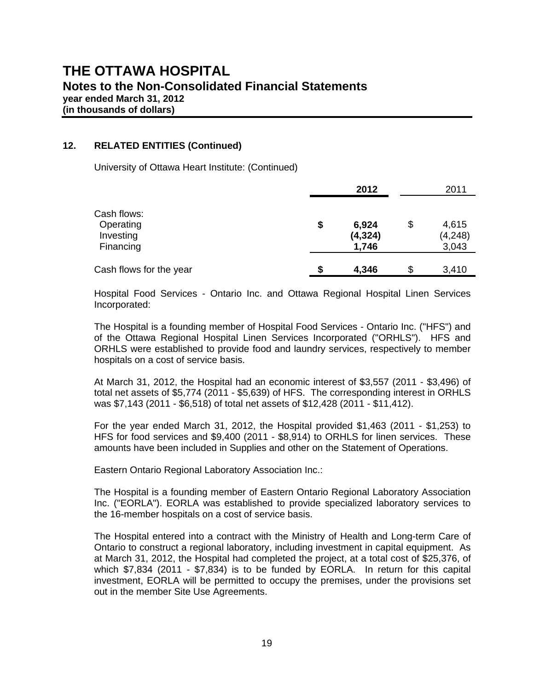# **THE OTTAWA HOSPITAL Notes to the Non-Consolidated Financial Statements year ended March 31, 2012**

**(in thousands of dollars)** 

#### **12. RELATED ENTITIES (Continued)**

University of Ottawa Heart Institute: (Continued)

|                         |    | 2012     | 2011        |
|-------------------------|----|----------|-------------|
| Cash flows:             |    |          |             |
| Operating               | \$ | 6,924    | \$<br>4,615 |
| Investing               |    | (4, 324) | (4, 248)    |
| Financing               |    | 1,746    | 3,043       |
|                         |    |          |             |
| Cash flows for the year | S  | 4,346    | \$<br>3,410 |

 Hospital Food Services - Ontario Inc. and Ottawa Regional Hospital Linen Services Incorporated:

 The Hospital is a founding member of Hospital Food Services - Ontario Inc. ("HFS") and of the Ottawa Regional Hospital Linen Services Incorporated ("ORHLS"). HFS and ORHLS were established to provide food and laundry services, respectively to member hospitals on a cost of service basis.

 At March 31, 2012, the Hospital had an economic interest of \$3,557 (2011 - \$3,496) of total net assets of \$5,774 (2011 - \$5,639) of HFS. The corresponding interest in ORHLS was \$7,143 (2011 - \$6,518) of total net assets of \$12,428 (2011 - \$11,412).

 For the year ended March 31, 2012, the Hospital provided \$1,463 (2011 - \$1,253) to HFS for food services and \$9,400 (2011 - \$8,914) to ORHLS for linen services. These amounts have been included in Supplies and other on the Statement of Operations.

Eastern Ontario Regional Laboratory Association Inc.:

 The Hospital is a founding member of Eastern Ontario Regional Laboratory Association Inc. ("EORLA"). EORLA was established to provide specialized laboratory services to the 16-member hospitals on a cost of service basis.

 The Hospital entered into a contract with the Ministry of Health and Long-term Care of Ontario to construct a regional laboratory, including investment in capital equipment. As at March 31, 2012, the Hospital had completed the project, at a total cost of \$25,376, of which \$7,834 (2011 - \$7,834) is to be funded by EORLA. In return for this capital investment, EORLA will be permitted to occupy the premises, under the provisions set out in the member Site Use Agreements.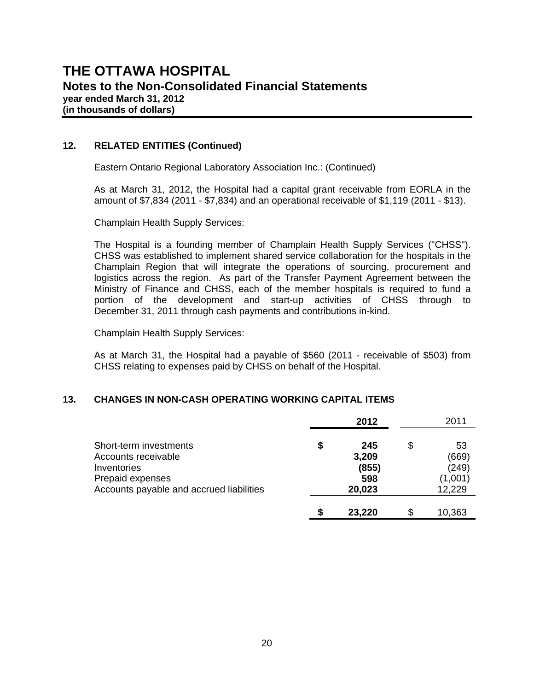#### **12. RELATED ENTITIES (Continued)**

Eastern Ontario Regional Laboratory Association Inc.: (Continued)

 As at March 31, 2012, the Hospital had a capital grant receivable from EORLA in the amount of \$7,834 (2011 - \$7,834) and an operational receivable of \$1,119 (2011 - \$13).

Champlain Health Supply Services:

 The Hospital is a founding member of Champlain Health Supply Services ("CHSS"). CHSS was established to implement shared service collaboration for the hospitals in the Champlain Region that will integrate the operations of sourcing, procurement and logistics across the region. As part of the Transfer Payment Agreement between the Ministry of Finance and CHSS, each of the member hospitals is required to fund a portion of the development and start-up activities of CHSS through to December 31, 2011 through cash payments and contributions in-kind.

Champlain Health Supply Services:

 As at March 31, the Hospital had a payable of \$560 (2011 - receivable of \$503) from CHSS relating to expenses paid by CHSS on behalf of the Hospital.

#### **13. CHANGES IN NON-CASH OPERATING WORKING CAPITAL ITEMS**

|                                                                                                                              | 2012                                         | 2011                                            |
|------------------------------------------------------------------------------------------------------------------------------|----------------------------------------------|-------------------------------------------------|
| Short-term investments<br>Accounts receivable<br>Inventories<br>Prepaid expenses<br>Accounts payable and accrued liabilities | \$<br>245<br>3,209<br>(855)<br>598<br>20,023 | \$<br>53<br>(669)<br>(249)<br>(1,001)<br>12,229 |
|                                                                                                                              | \$<br>23,220                                 | \$<br>10,363                                    |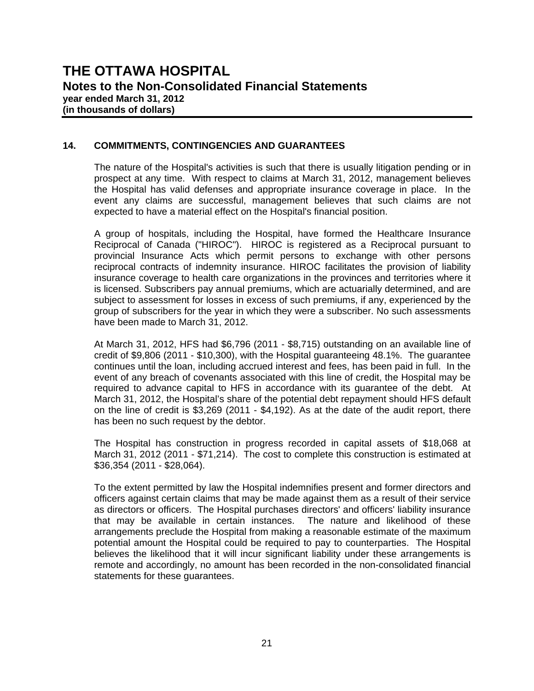#### **14. COMMITMENTS, CONTINGENCIES AND GUARANTEES**

 The nature of the Hospital's activities is such that there is usually litigation pending or in prospect at any time. With respect to claims at March 31, 2012, management believes the Hospital has valid defenses and appropriate insurance coverage in place. In the event any claims are successful, management believes that such claims are not expected to have a material effect on the Hospital's financial position.

 A group of hospitals, including the Hospital, have formed the Healthcare Insurance Reciprocal of Canada ("HIROC"). HIROC is registered as a Reciprocal pursuant to provincial Insurance Acts which permit persons to exchange with other persons reciprocal contracts of indemnity insurance. HIROC facilitates the provision of liability insurance coverage to health care organizations in the provinces and territories where it is licensed. Subscribers pay annual premiums, which are actuarially determined, and are subject to assessment for losses in excess of such premiums, if any, experienced by the group of subscribers for the year in which they were a subscriber. No such assessments have been made to March 31, 2012.

At March 31, 2012, HFS had \$6,796 (2011 - \$8,715) outstanding on an available line of credit of \$9,806 (2011 - \$10,300), with the Hospital guaranteeing 48.1%. The guarantee continues until the loan, including accrued interest and fees, has been paid in full. In the event of any breach of covenants associated with this line of credit, the Hospital may be required to advance capital to HFS in accordance with its guarantee of the debt. At March 31, 2012, the Hospital's share of the potential debt repayment should HFS default on the line of credit is \$3,269 (2011 - \$4,192). As at the date of the audit report, there has been no such request by the debtor.

The Hospital has construction in progress recorded in capital assets of \$18,068 at March 31, 2012 (2011 - \$71,214). The cost to complete this construction is estimated at \$36,354 (2011 - \$28,064).

To the extent permitted by law the Hospital indemnifies present and former directors and officers against certain claims that may be made against them as a result of their service as directors or officers. The Hospital purchases directors' and officers' liability insurance that may be available in certain instances. The nature and likelihood of these arrangements preclude the Hospital from making a reasonable estimate of the maximum potential amount the Hospital could be required to pay to counterparties. The Hospital believes the likelihood that it will incur significant liability under these arrangements is remote and accordingly, no amount has been recorded in the non-consolidated financial statements for these guarantees.